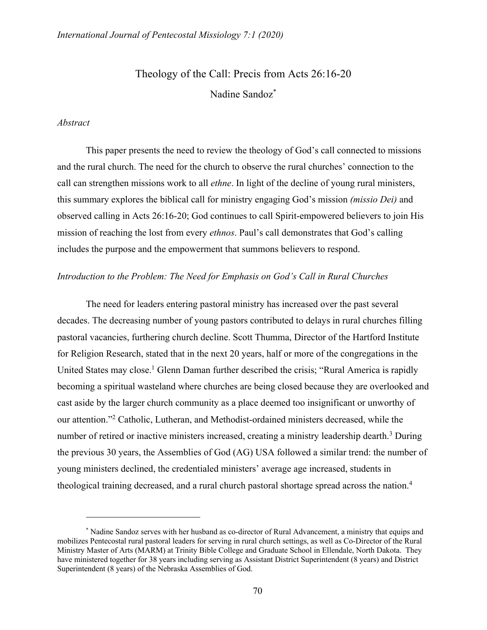# Theology of the Call: Precis from Acts 26:16-20 Nadine Sandoz\*

#### *Abstract*

This paper presents the need to review the theology of God's call connected to missions and the rural church. The need for the church to observe the rural churches' connection to the call can strengthen missions work to all *ethne*. In light of the decline of young rural ministers, this summary explores the biblical call for ministry engaging God's mission *(missio Dei)* and observed calling in Acts 26:16-20; God continues to call Spirit-empowered believers to join His mission of reaching the lost from every *ethnos*. Paul's call demonstrates that God's calling includes the purpose and the empowerment that summons believers to respond.

#### *Introduction to the Problem: The Need for Emphasis on God's Call in Rural Churches*

The need for leaders entering pastoral ministry has increased over the past several decades. The decreasing number of young pastors contributed to delays in rural churches filling pastoral vacancies, furthering church decline. Scott Thumma, Director of the Hartford Institute for Religion Research, stated that in the next 20 years, half or more of the congregations in the United States may close.<sup>1</sup> Glenn Daman further described the crisis; "Rural America is rapidly becoming a spiritual wasteland where churches are being closed because they are overlooked and cast aside by the larger church community as a place deemed too insignificant or unworthy of our attention."2 Catholic, Lutheran, and Methodist-ordained ministers decreased, while the number of retired or inactive ministers increased, creating a ministry leadership dearth.<sup>3</sup> During the previous 30 years, the Assemblies of God (AG) USA followed a similar trend: the number of young ministers declined, the credentialed ministers' average age increased, students in theological training decreased, and a rural church pastoral shortage spread across the nation.<sup>4</sup>

<sup>\*</sup> Nadine Sandoz serves with her husband as co-director of Rural Advancement, a ministry that equips and mobilizes Pentecostal rural pastoral leaders for serving in rural church settings, as well as Co-Director of the Rural Ministry Master of Arts (MARM) at Trinity Bible College and Graduate School in Ellendale, North Dakota. They have ministered together for 38 years including serving as Assistant District Superintendent (8 years) and District Superintendent (8 years) of the Nebraska Assemblies of God.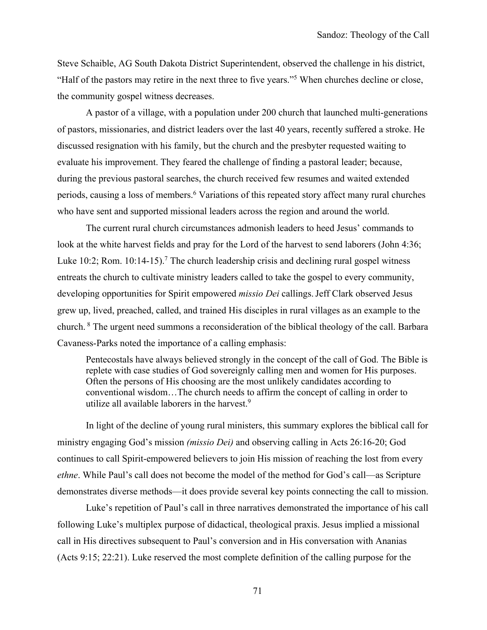Steve Schaible, AG South Dakota District Superintendent, observed the challenge in his district, "Half of the pastors may retire in the next three to five years."5 When churches decline or close, the community gospel witness decreases.

A pastor of a village, with a population under 200 church that launched multi-generations of pastors, missionaries, and district leaders over the last 40 years, recently suffered a stroke. He discussed resignation with his family, but the church and the presbyter requested waiting to evaluate his improvement. They feared the challenge of finding a pastoral leader; because, during the previous pastoral searches, the church received few resumes and waited extended periods, causing a loss of members.<sup>6</sup> Variations of this repeated story affect many rural churches who have sent and supported missional leaders across the region and around the world.

The current rural church circumstances admonish leaders to heed Jesus' commands to look at the white harvest fields and pray for the Lord of the harvest to send laborers (John 4:36; Luke 10:2; Rom.  $10:14-15$ ).<sup>7</sup> The church leadership crisis and declining rural gospel witness entreats the church to cultivate ministry leaders called to take the gospel to every community, developing opportunities for Spirit empowered *missio Dei* callings.Jeff Clark observed Jesus grew up, lived, preached, called, and trained His disciples in rural villages as an example to the church. <sup>8</sup> The urgent need summons a reconsideration of the biblical theology of the call. Barbara Cavaness-Parks noted the importance of a calling emphasis:

Pentecostals have always believed strongly in the concept of the call of God. The Bible is replete with case studies of God sovereignly calling men and women for His purposes. Often the persons of His choosing are the most unlikely candidates according to conventional wisdom…The church needs to affirm the concept of calling in order to utilize all available laborers in the harvest.<sup>9</sup>

In light of the decline of young rural ministers, this summary explores the biblical call for ministry engaging God's mission *(missio Dei)* and observing calling in Acts 26:16-20; God continues to call Spirit-empowered believers to join His mission of reaching the lost from every *ethne*. While Paul's call does not become the model of the method for God's call—as Scripture demonstrates diverse methods—it does provide several key points connecting the call to mission.

Luke's repetition of Paul's call in three narratives demonstrated the importance of his call following Luke's multiplex purpose of didactical, theological praxis. Jesus implied a missional call in His directives subsequent to Paul's conversion and in His conversation with Ananias (Acts 9:15; 22:21). Luke reserved the most complete definition of the calling purpose for the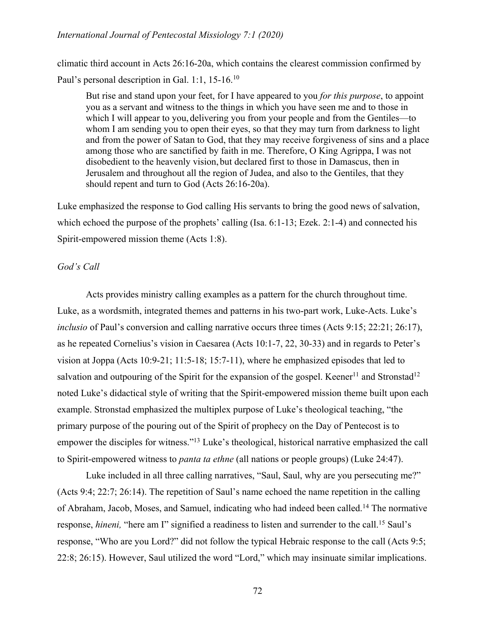#### *International Journal of Pentecostal Missiology 7:1 (2020)*

climatic third account in Acts 26:16-20a, which contains the clearest commission confirmed by Paul's personal description in Gal. 1:1, 15-16.10

But rise and stand upon your feet, for I have appeared to you *for this purpose*, to appoint you as a servant and witness to the things in which you have seen me and to those in which I will appear to you, delivering you from your people and from the Gentiles—to whom I am sending you to open their eyes, so that they may turn from darkness to light and from the power of Satan to God, that they may receive forgiveness of sins and a place among those who are sanctified by faith in me. Therefore, O King Agrippa, I was not disobedient to the heavenly vision, but declared first to those in Damascus, then in Jerusalem and throughout all the region of Judea, and also to the Gentiles, that they should repent and turn to God (Acts 26:16-20a).

Luke emphasized the response to God calling His servants to bring the good news of salvation, which echoed the purpose of the prophets' calling (Isa. 6:1-13; Ezek. 2:1-4) and connected his Spirit-empowered mission theme (Acts 1:8).

#### *God's Call*

Acts provides ministry calling examples as a pattern for the church throughout time. Luke, as a wordsmith, integrated themes and patterns in his two-part work, Luke-Acts. Luke's *inclusio* of Paul's conversion and calling narrative occurs three times (Acts 9:15; 22:21; 26:17), as he repeated Cornelius's vision in Caesarea (Acts 10:1-7, 22, 30-33) and in regards to Peter's vision at Joppa (Acts 10:9-21; 11:5-18; 15:7-11), where he emphasized episodes that led to salvation and outpouring of the Spirit for the expansion of the gospel. Keener<sup>11</sup> and Stronstad<sup>12</sup> noted Luke's didactical style of writing that the Spirit-empowered mission theme built upon each example. Stronstad emphasized the multiplex purpose of Luke's theological teaching, "the primary purpose of the pouring out of the Spirit of prophecy on the Day of Pentecost is to empower the disciples for witness."13 Luke's theological, historical narrative emphasized the call to Spirit-empowered witness to *panta ta ethne* (all nations or people groups) (Luke 24:47).

Luke included in all three calling narratives, "Saul, Saul, why are you persecuting me?" (Acts 9:4; 22:7; 26:14). The repetition of Saul's name echoed the name repetition in the calling of Abraham, Jacob, Moses, and Samuel, indicating who had indeed been called.14 The normative response, *hineni*, "here am I" signified a readiness to listen and surrender to the call.<sup>15</sup> Saul's response, "Who are you Lord?" did not follow the typical Hebraic response to the call (Acts 9:5; 22:8; 26:15). However, Saul utilized the word "Lord," which may insinuate similar implications.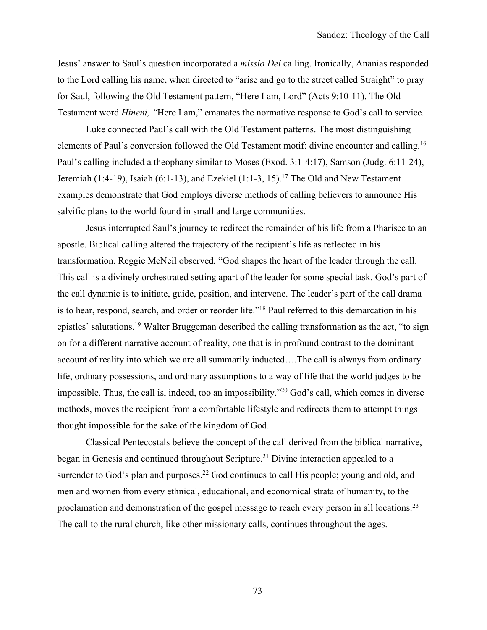Jesus' answer to Saul's question incorporated a *missio Dei* calling. Ironically, Ananias responded to the Lord calling his name, when directed to "arise and go to the street called Straight" to pray for Saul, following the Old Testament pattern, "Here I am, Lord" (Acts 9:10-11). The Old Testament word *Hineni, "*Here I am," emanates the normative response to God's call to service.

Luke connected Paul's call with the Old Testament patterns. The most distinguishing elements of Paul's conversion followed the Old Testament motif: divine encounter and calling.16 Paul's calling included a theophany similar to Moses (Exod. 3:1-4:17), Samson (Judg. 6:11-24), Jeremiah (1:4-19), Isaiah (6:1-13), and Ezekiel (1:1-3, 15).<sup>17</sup> The Old and New Testament examples demonstrate that God employs diverse methods of calling believers to announce His salvific plans to the world found in small and large communities.

Jesus interrupted Saul's journey to redirect the remainder of his life from a Pharisee to an apostle. Biblical calling altered the trajectory of the recipient's life as reflected in his transformation. Reggie McNeil observed, "God shapes the heart of the leader through the call. This call is a divinely orchestrated setting apart of the leader for some special task. God's part of the call dynamic is to initiate, guide, position, and intervene. The leader's part of the call drama is to hear, respond, search, and order or reorder life."18 Paul referred to this demarcation in his epistles' salutations.19 Walter Bruggeman described the calling transformation as the act, "to sign on for a different narrative account of reality, one that is in profound contrast to the dominant account of reality into which we are all summarily inducted….The call is always from ordinary life, ordinary possessions, and ordinary assumptions to a way of life that the world judges to be impossible. Thus, the call is, indeed, too an impossibility."20 God's call, which comes in diverse methods, moves the recipient from a comfortable lifestyle and redirects them to attempt things thought impossible for the sake of the kingdom of God.

Classical Pentecostals believe the concept of the call derived from the biblical narrative, began in Genesis and continued throughout Scripture.<sup>21</sup> Divine interaction appealed to a surrender to God's plan and purposes.<sup>22</sup> God continues to call His people; young and old, and men and women from every ethnical, educational, and economical strata of humanity, to the proclamation and demonstration of the gospel message to reach every person in all locations.23 The call to the rural church, like other missionary calls, continues throughout the ages.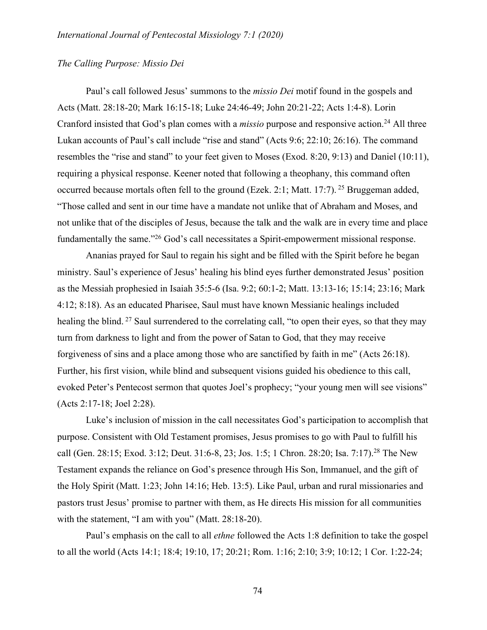#### *The Calling Purpose: Missio Dei*

Paul's call followed Jesus' summons to the *missio Dei* motif found in the gospels and Acts (Matt. 28:18-20; Mark 16:15-18; Luke 24:46-49; John 20:21-22; Acts 1:4-8). Lorin Cranford insisted that God's plan comes with a *missio* purpose and responsive action.<sup>24</sup> All three Lukan accounts of Paul's call include "rise and stand" (Acts 9:6; 22:10; 26:16). The command resembles the "rise and stand" to your feet given to Moses (Exod. 8:20, 9:13) and Daniel (10:11), requiring a physical response. Keener noted that following a theophany, this command often occurred because mortals often fell to the ground (Ezek. 2:1; Matt. 17:7). <sup>25</sup> Bruggeman added, "Those called and sent in our time have a mandate not unlike that of Abraham and Moses, and not unlike that of the disciples of Jesus, because the talk and the walk are in every time and place fundamentally the same.<sup>"26</sup> God's call necessitates a Spirit-empowerment missional response.

Ananias prayed for Saul to regain his sight and be filled with the Spirit before he began ministry. Saul's experience of Jesus' healing his blind eyes further demonstrated Jesus' position as the Messiah prophesied in Isaiah 35:5-6 (Isa. 9:2; 60:1-2; Matt. 13:13-16; 15:14; 23:16; Mark 4:12; 8:18). As an educated Pharisee, Saul must have known Messianic healings included healing the blind. <sup>27</sup> Saul surrendered to the correlating call, "to open their eyes, so that they may turn from darkness to light and from the power of Satan to God, that they may receive forgiveness of sins and a place among those who are sanctified by faith in me" (Acts 26:18). Further, his first vision, while blind and subsequent visions guided his obedience to this call, evoked Peter's Pentecost sermon that quotes Joel's prophecy; "your young men will see visions" (Acts 2:17-18; Joel 2:28).

Luke's inclusion of mission in the call necessitates God's participation to accomplish that purpose. Consistent with Old Testament promises, Jesus promises to go with Paul to fulfill his call (Gen. 28:15; Exod. 3:12; Deut. 31:6-8, 23; Jos. 1:5; 1 Chron. 28:20; Isa. 7:17).28 The New Testament expands the reliance on God's presence through His Son, Immanuel, and the gift of the Holy Spirit (Matt. 1:23; John 14:16; Heb. 13:5). Like Paul, urban and rural missionaries and pastors trust Jesus' promise to partner with them, as He directs His mission for all communities with the statement, "I am with you" (Matt. 28:18-20).

Paul's emphasis on the call to all *ethne* followed the Acts 1:8 definition to take the gospel to all the world (Acts 14:1; 18:4; 19:10, 17; 20:21; Rom. 1:16; 2:10; 3:9; 10:12; 1 Cor. 1:22-24;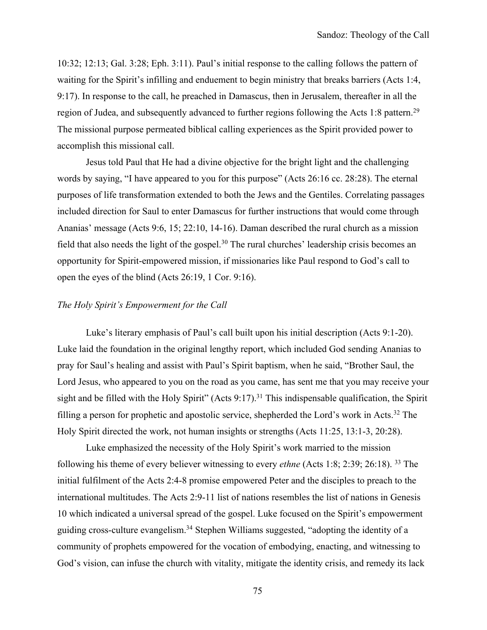10:32; 12:13; Gal. 3:28; Eph. 3:11). Paul's initial response to the calling follows the pattern of waiting for the Spirit's infilling and enduement to begin ministry that breaks barriers (Acts 1:4, 9:17). In response to the call, he preached in Damascus, then in Jerusalem, thereafter in all the region of Judea, and subsequently advanced to further regions following the Acts 1:8 pattern.<sup>29</sup> The missional purpose permeated biblical calling experiences as the Spirit provided power to accomplish this missional call.

Jesus told Paul that He had a divine objective for the bright light and the challenging words by saying, "I have appeared to you for this purpose" (Acts 26:16 cc. 28:28). The eternal purposes of life transformation extended to both the Jews and the Gentiles. Correlating passages included direction for Saul to enter Damascus for further instructions that would come through Ananias' message (Acts 9:6, 15; 22:10, 14-16). Daman described the rural church as a mission field that also needs the light of the gospel.<sup>30</sup> The rural churches' leadership crisis becomes an opportunity for Spirit-empowered mission, if missionaries like Paul respond to God's call to open the eyes of the blind (Acts 26:19, 1 Cor. 9:16).

#### *The Holy Spirit's Empowerment for the Call*

Luke's literary emphasis of Paul's call built upon his initial description (Acts 9:1-20). Luke laid the foundation in the original lengthy report, which included God sending Ananias to pray for Saul's healing and assist with Paul's Spirit baptism, when he said, "Brother Saul, the Lord Jesus, who appeared to you on the road as you came, has sent me that you may receive your sight and be filled with the Holy Spirit" (Acts 9:17).<sup>31</sup> This indispensable qualification, the Spirit filling a person for prophetic and apostolic service, shepherded the Lord's work in Acts.32 The Holy Spirit directed the work, not human insights or strengths (Acts 11:25, 13:1-3, 20:28).

Luke emphasized the necessity of the Holy Spirit's work married to the mission following his theme of every believer witnessing to every *ethne* (Acts 1:8; 2:39; 26:18). 33 The initial fulfilment of the Acts 2:4-8 promise empowered Peter and the disciples to preach to the international multitudes. The Acts 2:9-11 list of nations resembles the list of nations in Genesis 10 which indicated a universal spread of the gospel. Luke focused on the Spirit's empowerment guiding cross-culture evangelism.34 Stephen Williams suggested, "adopting the identity of a community of prophets empowered for the vocation of embodying, enacting, and witnessing to God's vision, can infuse the church with vitality, mitigate the identity crisis, and remedy its lack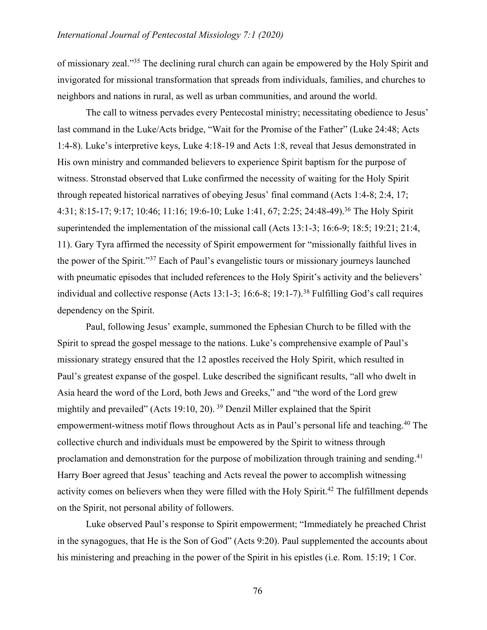of missionary zeal."35 The declining rural church can again be empowered by the Holy Spirit and invigorated for missional transformation that spreads from individuals, families, and churches to neighbors and nations in rural, as well as urban communities, and around the world.

The call to witness pervades every Pentecostal ministry; necessitating obedience to Jesus' last command in the Luke/Acts bridge, "Wait for the Promise of the Father" (Luke 24:48; Acts 1:4-8). Luke's interpretive keys, Luke 4:18-19 and Acts 1:8, reveal that Jesus demonstrated in His own ministry and commanded believers to experience Spirit baptism for the purpose of witness. Stronstad observed that Luke confirmed the necessity of waiting for the Holy Spirit through repeated historical narratives of obeying Jesus' final command (Acts 1:4-8; 2:4, 17; 4:31; 8:15-17; 9:17; 10:46; 11:16; 19:6-10; Luke 1:41, 67; 2:25; 24:48-49).36 The Holy Spirit superintended the implementation of the missional call (Acts 13:1-3; 16:6-9; 18:5; 19:21; 21:4, 11). Gary Tyra affirmed the necessity of Spirit empowerment for "missionally faithful lives in the power of the Spirit."37 Each of Paul's evangelistic tours or missionary journeys launched with pneumatic episodes that included references to the Holy Spirit's activity and the believers' individual and collective response (Acts 13:1-3; 16:6-8; 19:1-7).<sup>38</sup> Fulfilling God's call requires dependency on the Spirit.

Paul, following Jesus' example, summoned the Ephesian Church to be filled with the Spirit to spread the gospel message to the nations. Luke's comprehensive example of Paul's missionary strategy ensured that the 12 apostles received the Holy Spirit, which resulted in Paul's greatest expanse of the gospel. Luke described the significant results, "all who dwelt in Asia heard the word of the Lord, both Jews and Greeks," and "the word of the Lord grew mightily and prevailed" (Acts 19:10, 20). <sup>39</sup> Denzil Miller explained that the Spirit empowerment-witness motif flows throughout Acts as in Paul's personal life and teaching.<sup>40</sup> The collective church and individuals must be empowered by the Spirit to witness through proclamation and demonstration for the purpose of mobilization through training and sending.<sup>41</sup> Harry Boer agreed that Jesus' teaching and Acts reveal the power to accomplish witnessing activity comes on believers when they were filled with the Holy Spirit.<sup>42</sup> The fulfillment depends on the Spirit, not personal ability of followers.

Luke observed Paul's response to Spirit empowerment; "Immediately he preached Christ in the synagogues, that He is the Son of God" (Acts 9:20). Paul supplemented the accounts about his ministering and preaching in the power of the Spirit in his epistles (i.e. Rom. 15:19; 1 Cor.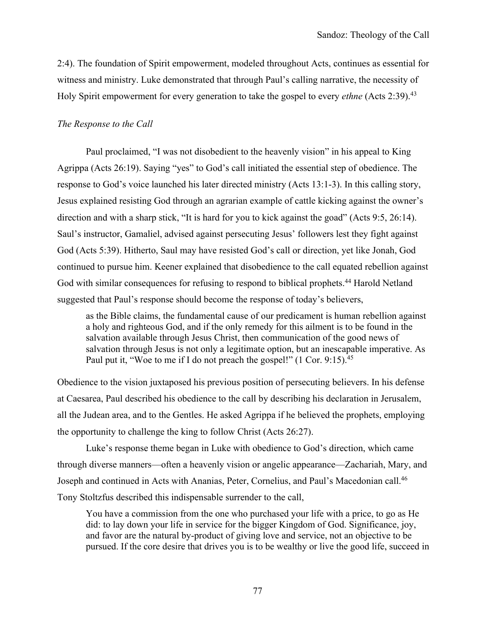2:4). The foundation of Spirit empowerment, modeled throughout Acts, continues as essential for witness and ministry. Luke demonstrated that through Paul's calling narrative, the necessity of Holy Spirit empowerment for every generation to take the gospel to every *ethne* (Acts 2:39).43

#### *The Response to the Call*

Paul proclaimed, "I was not disobedient to the heavenly vision" in his appeal to King Agrippa (Acts 26:19). Saying "yes" to God's call initiated the essential step of obedience. The response to God's voice launched his later directed ministry (Acts 13:1-3). In this calling story, Jesus explained resisting God through an agrarian example of cattle kicking against the owner's direction and with a sharp stick, "It is hard for you to kick against the goad" (Acts 9:5, 26:14). Saul's instructor, Gamaliel, advised against persecuting Jesus' followers lest they fight against God (Acts 5:39). Hitherto, Saul may have resisted God's call or direction, yet like Jonah, God continued to pursue him. Keener explained that disobedience to the call equated rebellion against God with similar consequences for refusing to respond to biblical prophets.<sup>44</sup> Harold Netland suggested that Paul's response should become the response of today's believers,

as the Bible claims, the fundamental cause of our predicament is human rebellion against a holy and righteous God, and if the only remedy for this ailment is to be found in the salvation available through Jesus Christ, then communication of the good news of salvation through Jesus is not only a legitimate option, but an inescapable imperative. As Paul put it, "Woe to me if I do not preach the gospel!" (1 Cor. 9:15).<sup>45</sup>

Obedience to the vision juxtaposed his previous position of persecuting believers. In his defense at Caesarea, Paul described his obedience to the call by describing his declaration in Jerusalem, all the Judean area, and to the Gentles. He asked Agrippa if he believed the prophets, employing the opportunity to challenge the king to follow Christ (Acts 26:27).

Luke's response theme began in Luke with obedience to God's direction, which came through diverse manners—often a heavenly vision or angelic appearance—Zachariah, Mary, and Joseph and continued in Acts with Ananias, Peter, Cornelius, and Paul's Macedonian call.46 Tony Stoltzfus described this indispensable surrender to the call,

You have a commission from the one who purchased your life with a price, to go as He did: to lay down your life in service for the bigger Kingdom of God. Significance, joy, and favor are the natural by-product of giving love and service, not an objective to be pursued. If the core desire that drives you is to be wealthy or live the good life, succeed in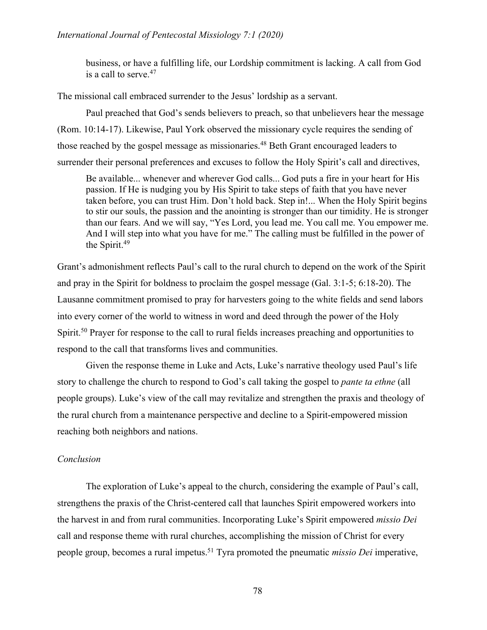business, or have a fulfilling life, our Lordship commitment is lacking. A call from God is a call to serve. 47

The missional call embraced surrender to the Jesus' lordship as a servant.

Paul preached that God's sends believers to preach, so that unbelievers hear the message (Rom. 10:14-17). Likewise, Paul York observed the missionary cycle requires the sending of those reached by the gospel message as missionaries.<sup>48</sup> Beth Grant encouraged leaders to surrender their personal preferences and excuses to follow the Holy Spirit's call and directives,

Be available... whenever and wherever God calls... God puts a fire in your heart for His passion. If He is nudging you by His Spirit to take steps of faith that you have never taken before, you can trust Him. Don't hold back. Step in!... When the Holy Spirit begins to stir our souls, the passion and the anointing is stronger than our timidity. He is stronger than our fears. And we will say, "Yes Lord, you lead me. You call me. You empower me. And I will step into what you have for me." The calling must be fulfilled in the power of the Spirit.<sup>49</sup>

Grant's admonishment reflects Paul's call to the rural church to depend on the work of the Spirit and pray in the Spirit for boldness to proclaim the gospel message (Gal. 3:1-5; 6:18-20). The Lausanne commitment promised to pray for harvesters going to the white fields and send labors into every corner of the world to witness in word and deed through the power of the Holy Spirit.<sup>50</sup> Prayer for response to the call to rural fields increases preaching and opportunities to respond to the call that transforms lives and communities.

Given the response theme in Luke and Acts, Luke's narrative theology used Paul's life story to challenge the church to respond to God's call taking the gospel to *pante ta ethne* (all people groups). Luke's view of the call may revitalize and strengthen the praxis and theology of the rural church from a maintenance perspective and decline to a Spirit-empowered mission reaching both neighbors and nations.

#### *Conclusion*

The exploration of Luke's appeal to the church, considering the example of Paul's call, strengthens the praxis of the Christ-centered call that launches Spirit empowered workers into the harvest in and from rural communities. Incorporating Luke's Spirit empowered *missio Dei* call and response theme with rural churches, accomplishing the mission of Christ for every people group, becomes a rural impetus. <sup>51</sup> Tyra promoted the pneumatic *missio Dei* imperative,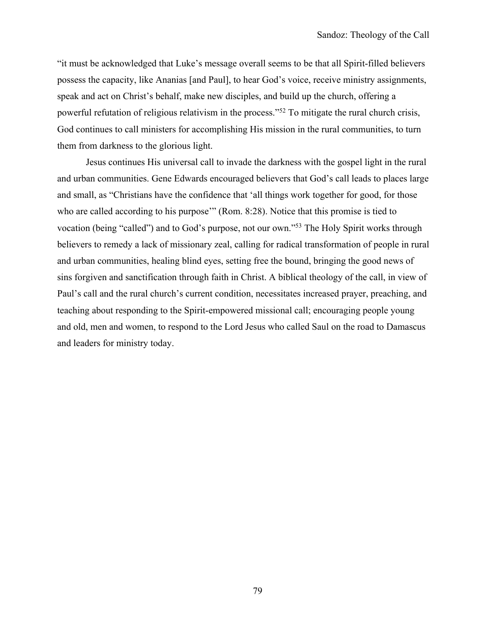"it must be acknowledged that Luke's message overall seems to be that all Spirit-filled believers possess the capacity, like Ananias [and Paul], to hear God's voice, receive ministry assignments, speak and act on Christ's behalf, make new disciples, and build up the church, offering a powerful refutation of religious relativism in the process."52 To mitigate the rural church crisis, God continues to call ministers for accomplishing His mission in the rural communities, to turn them from darkness to the glorious light.

Jesus continues His universal call to invade the darkness with the gospel light in the rural and urban communities. Gene Edwards encouraged believers that God's call leads to places large and small, as "Christians have the confidence that 'all things work together for good, for those who are called according to his purpose" (Rom. 8:28). Notice that this promise is tied to vocation (being "called") and to God's purpose, not our own."53 The Holy Spirit works through believers to remedy a lack of missionary zeal, calling for radical transformation of people in rural and urban communities, healing blind eyes, setting free the bound, bringing the good news of sins forgiven and sanctification through faith in Christ. A biblical theology of the call, in view of Paul's call and the rural church's current condition, necessitates increased prayer, preaching, and teaching about responding to the Spirit-empowered missional call; encouraging people young and old, men and women, to respond to the Lord Jesus who called Saul on the road to Damascus and leaders for ministry today.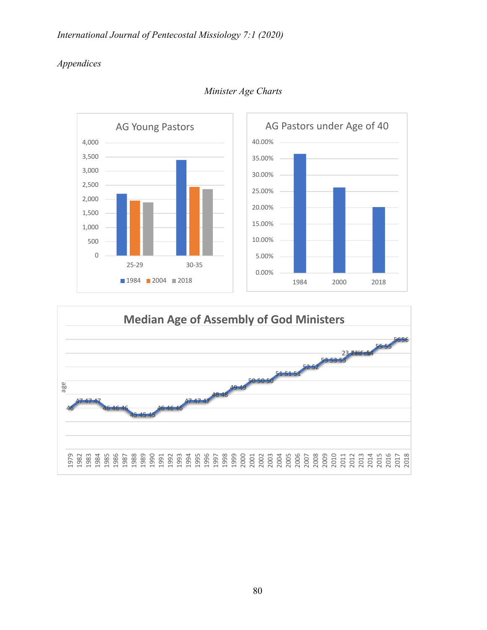## *International Journal of Pentecostal Missiology 7:1 (2020)*

## *Appendices*



*Minister Age Charts*

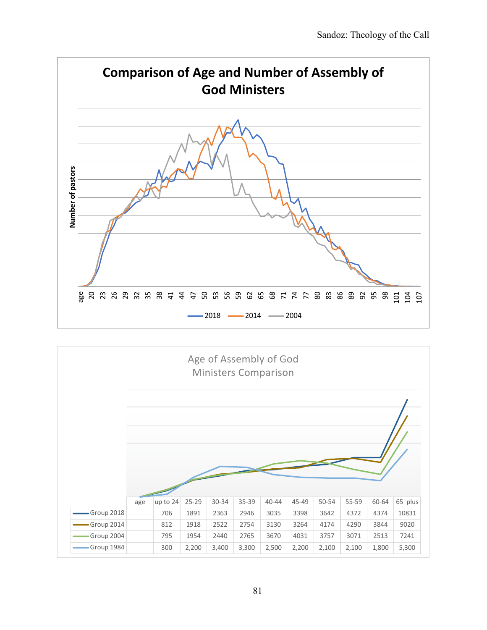

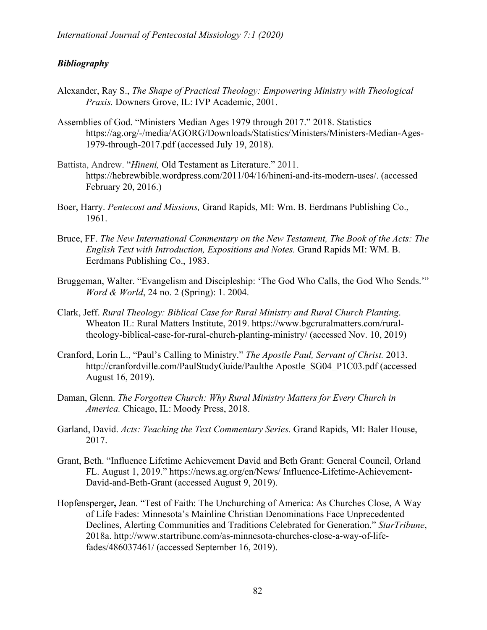### *Bibliography*

- Alexander, Ray S., *The Shape of Practical Theology: Empowering Ministry with Theological Praxis.* Downers Grove, IL: IVP Academic, 2001.
- Assemblies of God. "Ministers Median Ages 1979 through 2017." 2018. Statistics https://ag.org/-/media/AGORG/Downloads/Statistics/Ministers/Ministers-Median-Ages-1979-through-2017.pdf (accessed July 19, 2018).
- Battista, Andrew. "*Hineni,* Old Testament as Literature." 2011. https://hebrewbible.wordpress.com/2011/04/16/hineni-and-its-modern-uses/. (accessed February 20, 2016.)
- Boer, Harry. *Pentecost and Missions,* Grand Rapids, MI: Wm. B. Eerdmans Publishing Co., 1961.
- Bruce, FF. *The New International Commentary on the New Testament, The Book of the Acts: The English Text with Introduction, Expositions and Notes.* Grand Rapids MI: WM. B. Eerdmans Publishing Co., 1983.
- Bruggeman, Walter. "Evangelism and Discipleship: 'The God Who Calls, the God Who Sends.'" *Word & World*, 24 no. 2 (Spring): 1. 2004.
- Clark, Jeff. *Rural Theology: Biblical Case for Rural Ministry and Rural Church Planting*. Wheaton IL: Rural Matters Institute, 2019. https://www.bgcruralmatters.com/ruraltheology-biblical-case-for-rural-church-planting-ministry/ (accessed Nov. 10, 2019)
- Cranford, Lorin L., "Paul's Calling to Ministry." *The Apostle Paul, Servant of Christ.* 2013. http://cranfordville.com/PaulStudyGuide/Paulthe Apostle\_SG04\_P1C03.pdf (accessed August 16, 2019).
- Daman, Glenn. *The Forgotten Church: Why Rural Ministry Matters for Every Church in America.* Chicago, IL: Moody Press, 2018.
- Garland, David. *Acts: Teaching the Text Commentary Series.* Grand Rapids, MI: Baler House, 2017.
- Grant, Beth. "Influence Lifetime Achievement David and Beth Grant: General Council, Orland FL. August 1, 2019." https://news.ag.org/en/News/ Influence-Lifetime-Achievement-David-and-Beth-Grant (accessed August 9, 2019).
- Hopfensperger**,** Jean. "Test of Faith: The Unchurching of America: As Churches Close, A Way of Life Fades: Minnesota's Mainline Christian Denominations Face Unprecedented Declines, Alerting Communities and Traditions Celebrated for Generation." *StarTribune*, 2018a. http://www.startribune.com/as-minnesota-churches-close-a-way-of-lifefades/486037461/ (accessed September 16, 2019).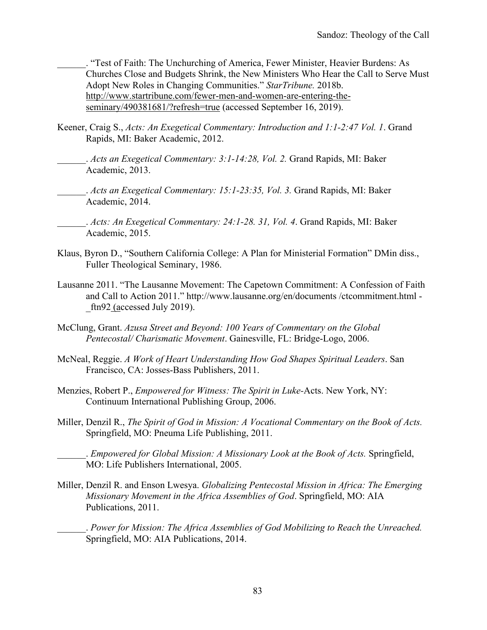\_\_\_\_\_\_. "Test of Faith: The Unchurching of America, Fewer Minister, Heavier Burdens: As Churches Close and Budgets Shrink, the New Ministers Who Hear the Call to Serve Must Adopt New Roles in Changing Communities." *StarTribune.* 2018b. http://www.startribune.com/fewer-men-and-women-are-entering-theseminary/490381681/?refresh=true (accessed September 16, 2019).

- Keener, Craig S., *Acts: An Exegetical Commentary: Introduction and 1:1-2:47 Vol. 1*. Grand Rapids, MI: Baker Academic, 2012.
	- \_\_\_\_\_\_. *Acts an Exegetical Commentary: 3:1-14:28, Vol. 2.* Grand Rapids, MI: Baker Academic, 2013.
	- \_\_\_\_\_\_. *Acts an Exegetical Commentary: 15:1-23:35, Vol. 3.* Grand Rapids, MI: Baker Academic, 2014.
		- \_\_\_\_\_\_. *Acts: An Exegetical Commentary: 24:1-28. 31, Vol. 4*. Grand Rapids, MI: Baker Academic, 2015.
- Klaus, Byron D., "Southern California College: A Plan for Ministerial Formation" DMin diss., Fuller Theological Seminary, 1986.
- Lausanne 2011. "The Lausanne Movement: The Capetown Commitment: A Confession of Faith and Call to Action 2011." http://www.lausanne.org/en/documents /ctcommitment.html  $ftn92$  (accessed July 2019).
- McClung, Grant. *Azusa Street and Beyond: 100 Years of Commentary on the Global Pentecostal/ Charismatic Movement*. Gainesville, FL: Bridge-Logo, 2006.
- McNeal, Reggie. *A Work of Heart Understanding How God Shapes Spiritual Leaders*. San Francisco, CA: Josses-Bass Publishers, 2011.
- Menzies, Robert P., *Empowered for Witness: The Spirit in Luke-*Acts. New York, NY: Continuum International Publishing Group, 2006.
- Miller, Denzil R., *The Spirit of God in Mission: A Vocational Commentary on the Book of Acts.*  Springfield, MO: Pneuma Life Publishing, 2011.

\_\_\_\_\_\_. *Empowered for Global Mission: A Missionary Look at the Book of Acts.* Springfield, MO: Life Publishers International, 2005.

Miller, Denzil R. and Enson Lwesya. *Globalizing Pentecostal Mission in Africa: The Emerging Missionary Movement in the Africa Assemblies of God*. Springfield, MO: AIA Publications, 2011.

\_\_\_\_\_\_. *Power for Mission: The Africa Assemblies of God Mobilizing to Reach the Unreached.*  Springfield, MO: AIA Publications, 2014.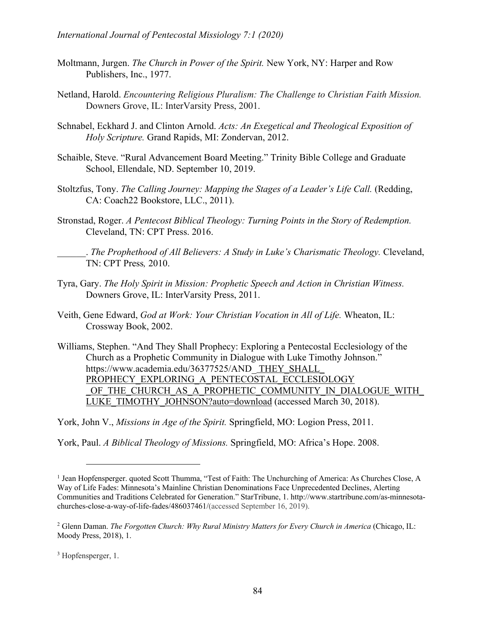- Moltmann, Jurgen. *The Church in Power of the Spirit.* New York, NY: Harper and Row Publishers, Inc., 1977.
- Netland, Harold. *Encountering Religious Pluralism: The Challenge to Christian Faith Mission.* Downers Grove, IL: InterVarsity Press, 2001.
- Schnabel, Eckhard J. and Clinton Arnold. *Acts: An Exegetical and Theological Exposition of Holy Scripture.* Grand Rapids, MI: Zondervan, 2012.
- Schaible, Steve. "Rural Advancement Board Meeting." Trinity Bible College and Graduate School, Ellendale, ND. September 10, 2019.
- Stoltzfus, Tony. *The Calling Journey: Mapping the Stages of a Leader's Life Call.* (Redding, CA: Coach22 Bookstore, LLC., 2011).
- Stronstad, Roger. *A Pentecost Biblical Theology: Turning Points in the Story of Redemption.*  Cleveland, TN: CPT Press. 2016.

\_\_\_\_\_\_. *The Prophethood of All Believers: A Study in Luke's Charismatic Theology.* Cleveland, TN: CPT Press*,* 2010.

- Tyra, Gary. *The Holy Spirit in Mission: Prophetic Speech and Action in Christian Witness.*  Downers Grove, IL: InterVarsity Press, 2011.
- Veith, Gene Edward, *God at Work: Your Christian Vocation in All of Life.* Wheaton, IL: Crossway Book, 2002.

Williams, Stephen. "And They Shall Prophecy: Exploring a Pentecostal Ecclesiology of the Church as a Prophetic Community in Dialogue with Luke Timothy Johnson." https://www.academia.edu/36377525/AND\_THEY\_SHALL PROPHECY\_EXPLORING\_A\_PENTECOSTAL\_ECCLESIOLOGY OF THE CHURCH AS A PROPHETIC COMMUNITY IN DIALOGUE WITH LUKE\_TIMOTHY\_JOHNSON?auto=download (accessed March 30, 2018).

York, John V., *Missions in Age of the Spirit.* Springfield, MO: Logion Press, 2011.

York, Paul. *A Biblical Theology of Missions.* Springfield, MO: Africa's Hope. 2008.

<sup>&</sup>lt;sup>1</sup> Jean Hopfensperger. quoted Scott Thumma, "Test of Faith: The Unchurching of America: As Churches Close, A Way of Life Fades: Minnesota's Mainline Christian Denominations Face Unprecedented Declines, Alerting Communities and Traditions Celebrated for Generation." StarTribune, 1. http://www.startribune.com/as-minnesotachurches-close-a-way-of-life-fades/486037461/(accessed September 16, 2019).

<sup>&</sup>lt;sup>2</sup> Glenn Daman. *The Forgotten Church: Why Rural Ministry Matters for Every Church in America* (Chicago, IL: Moody Press, 2018), 1.

<sup>&</sup>lt;sup>3</sup> Hopfensperger, 1.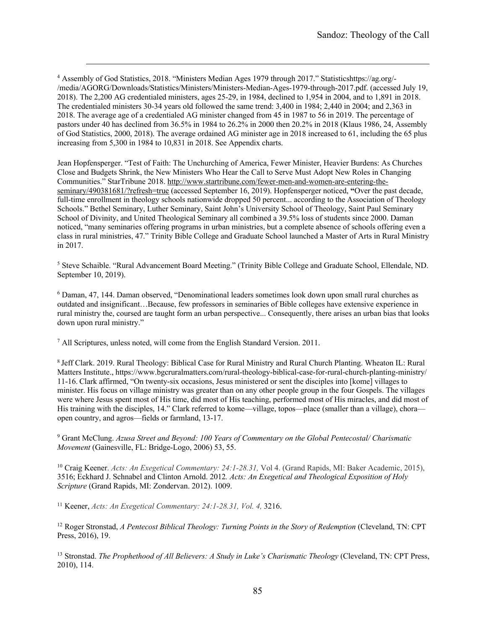<sup>4</sup> Assembly of God Statistics, 2018. "Ministers Median Ages 1979 through 2017." Statisticshttps://ag.org/- /media/AGORG/Downloads/Statistics/Ministers/Ministers-Median-Ages-1979-through-2017.pdf. (accessed July 19, 2018). The 2,200 AG credentialed ministers, ages 25-29, in 1984, declined to 1,954 in 2004, and to 1,891 in 2018. The credentialed ministers 30-34 years old followed the same trend: 3,400 in 1984; 2,440 in 2004; and 2,363 in 2018. The average age of a credentialed AG minister changed from 45 in 1987 to 56 in 2019. The percentage of pastors under 40 has declined from 36.5% in 1984 to 26.2% in 2000 then 20.2% in 2018 (Klaus 1986, 24, Assembly of God Statistics, 2000, 2018). The average ordained AG minister age in 2018 increased to 61, including the 65 plus increasing from 5,300 in 1984 to 10,831 in 2018. See Appendix charts.

Jean Hopfensperger. "Test of Faith: The Unchurching of America, Fewer Minister, Heavier Burdens: As Churches Close and Budgets Shrink, the New Ministers Who Hear the Call to Serve Must Adopt New Roles in Changing Communities." StarTribune 2018. http://www.startribune.com/fewer-men-and-women-are-entering-theseminary/490381681/?refresh=true (accessed September 16, 2019). Hopfensperger noticed, **"**Over the past decade, full-time enrollment in theology schools nationwide dropped 50 percent... according to the Association of Theology Schools." Bethel Seminary, Luther Seminary, Saint John's University School of Theology, Saint Paul Seminary School of Divinity, and United Theological Seminary all combined a 39.5% loss of students since 2000. Daman noticed, "many seminaries offering programs in urban ministries, but a complete absence of schools offering even a class in rural ministries, 47." Trinity Bible College and Graduate School launched a Master of Arts in Rural Ministry in 2017.

<sup>5</sup> Steve Schaible. "Rural Advancement Board Meeting." (Trinity Bible College and Graduate School, Ellendale, ND. September 10, 2019).

<sup>6</sup> Daman, 47, 144. Daman observed, "Denominational leaders sometimes look down upon small rural churches as outdated and insignificant…Because, few professors in seminaries of Bible colleges have extensive experience in rural ministry the, coursed are taught form an urban perspective... Consequently, there arises an urban bias that looks down upon rural ministry."

<sup>7</sup> All Scriptures, unless noted, will come from the English Standard Version. 2011.

<sup>8</sup> Jeff Clark. 2019. Rural Theology: Biblical Case for Rural Ministry and Rural Church Planting. Wheaton IL: Rural Matters Institute., https://www.bgcruralmatters.com/rural-theology-biblical-case-for-rural-church-planting-ministry/ 11-16. Clark affirmed, "On twenty-six occasions, Jesus ministered or sent the disciples into [kome] villages to minister. His focus on village ministry was greater than on any other people group in the four Gospels. The villages were where Jesus spent most of His time, did most of His teaching, performed most of His miracles, and did most of His training with the disciples, 14." Clark referred to kome—village, topos—place (smaller than a village), chora open country, and agros—fields or farmland, 13-17.

<sup>9</sup> Grant McClung. *Azusa Street and Beyond: 100 Years of Commentary on the Global Pentecostal/ Charismatic Movement* (Gainesville, FL: Bridge-Logo, 2006) 53, 55.

<sup>10</sup> Craig Keener. *Acts: An Exegetical Commentary: 24:1-28.31,* Vol 4. (Grand Rapids, MI: Baker Academic, 2015), 3516; Eckhard J. Schnabel and Clinton Arnold. 2012*. Acts: An Exegetical and Theological Exposition of Holy Scripture* (Grand Rapids, MI: Zondervan. 2012). 1009.

<sup>11</sup> Keener, *Acts: An Exegetical Commentary: 24:1-28.31, Vol. 4,* 3216.

<sup>12</sup> Roger Stronstad, *A Pentecost Biblical Theology: Turning Points in the Story of Redemption* (Cleveland, TN: CPT Press, 2016), 19.

<sup>13</sup> Stronstad. *The Prophethood of All Believers: A Study in Luke's Charismatic Theology* (Cleveland, TN: CPT Press, 2010), 114.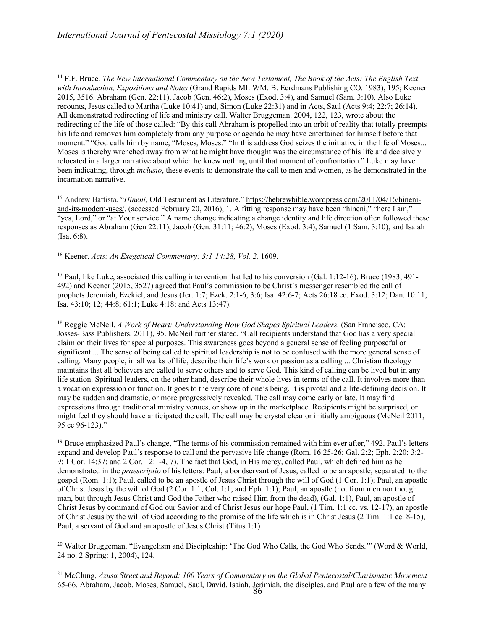<sup>14</sup> F.F. Bruce. *The New International Commentary on the New Testament, The Book of the Acts: The English Text with Introduction, Expositions and Notes* (Grand Rapids MI: WM. B. Eerdmans Publishing CO. 1983), 195; Keener 2015, 3516. Abraham (Gen. 22:11), Jacob (Gen. 46:2), Moses (Exod. 3:4), and Samuel (Sam. 3:10). Also Luke recounts, Jesus called to Martha (Luke 10:41) and, Simon (Luke 22:31) and in Acts, Saul (Acts 9:4; 22:7; 26:14). All demonstrated redirecting of life and ministry call. Walter Bruggeman. 2004, 122, 123, wrote about the redirecting of the life of those called: "By this call Abraham is propelled into an orbit of reality that totally preempts his life and removes him completely from any purpose or agenda he may have entertained for himself before that moment." "God calls him by name, "Moses, Moses." "In this address God seizes the initiative in the life of Moses... Moses is thereby wrenched away from what he might have thought was the circumstance of his life and decisively relocated in a larger narrative about which he knew nothing until that moment of confrontation." Luke may have been indicating, through *inclusio*, these events to demonstrate the call to men and women, as he demonstrated in the incarnation narrative.

<sup>15</sup> Andrew Battista. "*Hineni,* Old Testament as Literature." https://hebrewbible.wordpress.com/2011/04/16/hineniand-its-modern-uses/. (accessed February 20, 2016), 1. A fitting response may have been "hineni," "here I am," "yes, Lord," or "at Your service." A name change indicating a change identity and life direction often followed these responses as Abraham (Gen 22:11), Jacob (Gen. 31:11; 46:2), Moses (Exod. 3:4), Samuel (1 Sam. 3:10), and Isaiah (Isa. 6:8).

<sup>16</sup> Keener, *Acts: An Exegetical Commentary: 3:1-14:28, Vol. 2,* 1609.

<sup>17</sup> Paul, like Luke, associated this calling intervention that led to his conversion (Gal. 1:12-16). Bruce (1983, 491- 492) and Keener (2015, 3527) agreed that Paul's commission to be Christ's messenger resembled the call of prophets Jeremiah, Ezekiel, and Jesus (Jer. 1:7; Ezek. 2:1-6, 3:6; Isa. 42:6-7; Acts 26:18 cc. Exod. 3:12; Dan. 10:11; Isa. 43:10; 12; 44:8; 61:1; Luke 4:18; and Acts 13:47).

<sup>18</sup> Reggie McNeil, *A Work of Heart: Understanding How God Shapes Spiritual Leaders.* (San Francisco, CA: Josses-Bass Publishers. 2011), 95. McNeil further stated, "Call recipients understand that God has a very special claim on their lives for special purposes. This awareness goes beyond a general sense of feeling purposeful or significant ... The sense of being called to spiritual leadership is not to be confused with the more general sense of calling. Many people, in all walks of life, describe their life's work or passion as a calling ... Christian theology maintains that all believers are called to serve others and to serve God. This kind of calling can be lived but in any life station. Spiritual leaders, on the other hand, describe their whole lives in terms of the call. It involves more than a vocation expression or function. It goes to the very core of one's being. It is pivotal and a life-defining decision. It may be sudden and dramatic, or more progressively revealed. The call may come early or late. It may find expressions through traditional ministry venues, or show up in the marketplace. Recipients might be surprised, or might feel they should have anticipated the call. The call may be crystal clear or initially ambiguous (McNeil 2011, 95 cc 96-123)."

 $19$  Bruce emphasized Paul's change, "The terms of his commission remained with him ever after," 492. Paul's letters expand and develop Paul's response to call and the pervasive life change (Rom. 16:25-26; Gal. 2:2; Eph. 2:20; 3:2- 9; 1 Cor. 14:37; and 2 Cor. 12:1-4, 7). The fact that God, in His mercy, called Paul, which defined him as he demonstrated in the *praescriptio* of his letters: Paul, a bondservant of Jesus, called to be an apostle, separated to the gospel (Rom. 1:1); Paul, called to be an apostle of Jesus Christ through the will of God (1 Cor. 1:1); Paul, an apostle of Christ Jesus by the will of God (2 Cor. 1:1; Col. 1:1; and Eph. 1:1); Paul, an apostle (not from men nor though man, but through Jesus Christ and God the Father who raised Him from the dead), (Gal. 1:1), Paul, an apostle of Christ Jesus by command of God our Savior and of Christ Jesus our hope Paul, (1 Tim. 1:1 cc. vs. 12-17), an apostle of Christ Jesus by the will of God according to the promise of the life which is in Christ Jesus (2 Tim. 1:1 cc. 8-15), Paul, a servant of God and an apostle of Jesus Christ (Titus 1:1)

<sup>20</sup> Walter Bruggeman. "Evangelism and Discipleship: 'The God Who Calls, the God Who Sends.'" (Word & World, 24 no. 2 Spring: 1, 2004), 124.

86 65-66. Abraham, Jacob, Moses, Samuel, Saul, David, Isaiah, Jerimiah, the disciples, and Paul are a few of the many <sup>21</sup> McClung, *Azusa Street and Beyond: 100 Years of Commentary on the Global Pentecostal/Charismatic Movement*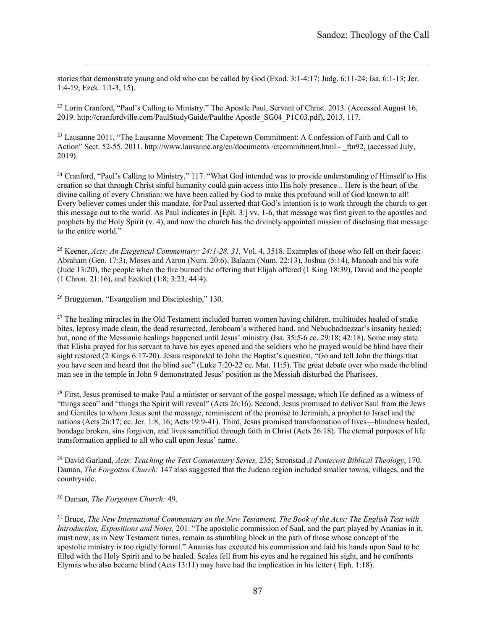stories that demonstrate young and old who can be called by God (Exod. 3:1-4:17; Judg. 6:11-24; Isa. 6:1-13; Jer. 1:4-19; Ezek. 1:1-3, 15).

<sup>22</sup> Lorin Cranford, "Paul's Calling to Ministry." The Apostle Paul, Servant of Christ. 2013. (Accessed August 16, 2019. http://cranfordville.com/PaulStudyGuide/Paulthe Apostle\_SG04\_P1C03.pdf), 2013, 117.

<sup>23</sup> Lausanne 2011, "The Lausanne Movement: The Capetown Commitment: A Confession of Faith and Call to Action" Sect. 52-55. 2011. http://www.lausanne.org/en/documents /ctcommitment.html - \_ftn92. (accessed July, 2019).

<sup>24</sup> Cranford, "Paul's Calling to Ministry," 117. "What God intended was to provide understanding of Himself to His creation so that through Christ sinful humanity could gain access into His holy presence... Here is the heart of the divine calling of every Christian: we have been called by God to make this profound will of God known to all! Every believer comes under this mandate, for Paul asserted that God's intention is to work through the church to get this message out to the world. As Paul indicates in [Eph. 3:] vv. 1-6, that message was first given to the apostles and prophets by the Holy Spirit (v. 4), and now the church has the divinely appointed mission of disclosing that message to the entire world."

<sup>25</sup> Keener, *Acts: An Exegetical Commentary: 24:1-28. 31,* Vol. 4, 3518. Examples of those who fell on their faces: Abraham (Gen. 17:3), Moses and Aaron (Num. 20:6), Balaam (Num. 22:13), Joshua (5:14), Manoah and his wife (Jude 13:20), the people when the fire burned the offering that Elijah offered (1 King 18:39), David and the people (1 Chron. 21:16), and Ezekiel (1:8; 3:23; 44:4).

<sup>26</sup> Bruggeman, "Evangelism and Discipleship," 130.

<sup>27</sup> The healing miracles in the Old Testament included barren women having children, multitudes healed of snake bites, leprosy made clean, the dead resurrected, Jeroboam's withered hand, and Nebuchadnezzar's insanity healed; but, none of the Messianic healings happened until Jesus' ministry (Isa. 35:5-6 cc. 29:18; 42:18). Some may state that Elisha prayed for his servant to have his eyes opened and the soldiers who he prayed would be blind have their sight restored (2 Kings 6:17-20). Jesus responded to John the Baptist's question, "Go and tell John the things that you have seen and heard that the blind see" (Luke 7:20-22 cc. Mat. 11:5). The great debate over who made the blind man see in the temple in John 9 demonstrated Jesus' position as the Messiah disturbed the Pharisees.

<sup>28</sup> First, Jesus promised to make Paul a minister or servant of the gospel message, which He defined as a witness of "things seen" and "things the Spirit will reveal" (Acts 26:16). Second, Jesus promised to deliver Saul from the Jews and Gentiles to whom Jesus sent the message, reminiscent of the promise to Jerimiah, a prophet to Israel and the nations (Acts 26:17; cc. Jer. 1:8, 16; Acts 19:9-41). Third, Jesus promised transformation of lives—blindness healed, bondage broken, sins forgiven, and lives sanctified through faith in Christ (Acts 26:18). The eternal purposes of life transformation applied to all who call upon Jesus' name.

<sup>29</sup> David Garland, *Acts: Teaching the Text Commentary Series,* 235; Stronstad *A Pentecost Biblical Theology*, 170. Daman, *The Forgotten Church:* 147 also suggested that the Judean region included smaller towns, villages, and the countryside.

<sup>30</sup> Daman, *The Forgotten Church:* 49.

<sup>31</sup> Bruce, *The New International Commentary on the New Testament, The Book of the Acts: The English Text with Introduction, Expositions and Notes,* 201. "The apostolic commission of Saul, and the part played by Ananias in it, must now, as in New Testament times, remain as stumbling block in the path of those whose concept of the apostolic ministry is too rigidly formal." Ananias has executed his commission and laid his hands upon Saul to be filled with the Holy Spirit and to be healed. Scales fell from his eyes and he regained his sight, and he confronts Elymas who also became blind (Acts 13:11) may have had the implication in his letter ( Eph. 1:18).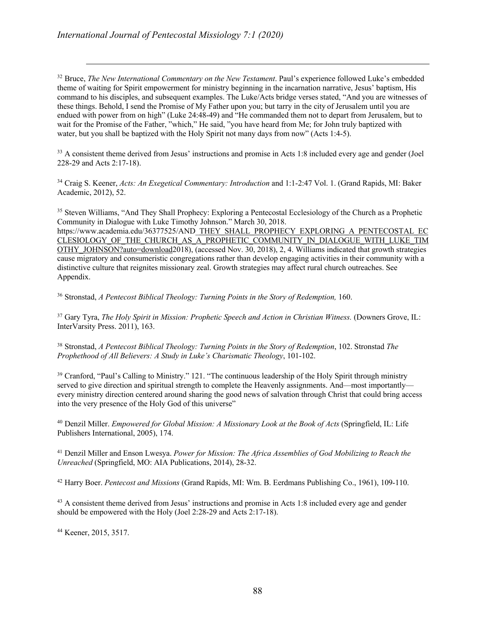<sup>32</sup> Bruce, *The New International Commentary on the New Testament*. Paul's experience followed Luke's embedded theme of waiting for Spirit empowerment for ministry beginning in the incarnation narrative, Jesus' baptism, His command to his disciples, and subsequent examples. The Luke/Acts bridge verses stated, "And you are witnesses of these things. Behold, I send the Promise of My Father upon you; but tarry in the city of Jerusalem until you are endued with power from on high" (Luke 24:48-49) and "He commanded them not to depart from Jerusalem, but to wait for the Promise of the Father, "which," He said, "you have heard from Me; for John truly baptized with water, but you shall be baptized with the Holy Spirit not many days from now" (Acts 1:4-5).

<sup>33</sup> A consistent theme derived from Jesus' instructions and promise in Acts 1:8 included every age and gender (Joel 228-29 and Acts 2:17-18).

<sup>34</sup> Craig S. Keener, *Acts: An Exegetical Commentary: Introduction* and 1:1-2:47 Vol. 1. (Grand Rapids, MI: Baker Academic, 2012), 52.

<sup>35</sup> Steven Williams, "And They Shall Prophecy: Exploring a Pentecostal Ecclesiology of the Church as a Prophetic Community in Dialogue with Luke Timothy Johnson." March 30, 2018. https://www.academia.edu/36377525/AND\_THEY\_SHALL\_PROPHECY\_EXPLORING\_A\_PENTECOSTAL\_EC CLESIOLOGY\_OF\_THE\_CHURCH\_AS\_A\_PROPHETIC\_COMMUNITY\_IN\_DIALOGUE\_WITH\_LUKE\_TIM OTHY\_JOHNSON?auto=download2018), (accessed Nov. 30, 2018), 2, 4. Williams indicated that growth strategies cause migratory and consumeristic congregations rather than develop engaging activities in their community with a distinctive culture that reignites missionary zeal. Growth strategies may affect rural church outreaches. See Appendix.

<sup>36</sup> Stronstad, *A Pentecost Biblical Theology: Turning Points in the Story of Redemption,* 160.

<sup>37</sup> Gary Tyra, *The Holy Spirit in Mission: Prophetic Speech and Action in Christian Witness.* (Downers Grove, IL: InterVarsity Press. 2011), 163.

<sup>38</sup> Stronstad, *A Pentecost Biblical Theology: Turning Points in the Story of Redemption*, 102. Stronstad *The Prophethood of All Believers: A Study in Luke's Charismatic Theology*, 101-102.

<sup>39</sup> Cranford, "Paul's Calling to Ministry." 121. "The continuous leadership of the Holy Spirit through ministry served to give direction and spiritual strength to complete the Heavenly assignments. And—most importantly every ministry direction centered around sharing the good news of salvation through Christ that could bring access into the very presence of the Holy God of this universe"

<sup>40</sup> Denzil Miller. *Empowered for Global Mission: A Missionary Look at the Book of Acts* (Springfield, IL: Life Publishers International, 2005), 174.

<sup>41</sup> Denzil Miller and Enson Lwesya. *Power for Mission: The Africa Assemblies of God Mobilizing to Reach the Unreached* (Springfield, MO: AIA Publications, 2014), 28-32.

<sup>42</sup> Harry Boer. *Pentecost and Missions* (Grand Rapids, MI: Wm. B. Eerdmans Publishing Co., 1961), 109-110.

<sup>43</sup> A consistent theme derived from Jesus' instructions and promise in Acts 1:8 included every age and gender should be empowered with the Holy (Joel 2:28-29 and Acts 2:17-18).

<sup>44</sup> Keener, 2015, 3517.